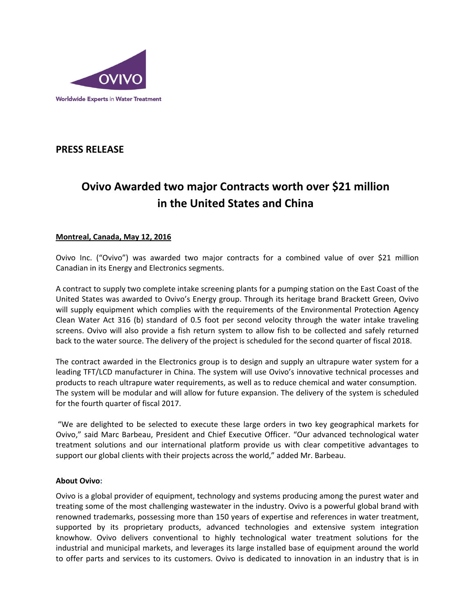

# **PRESS RELEASE**

# **Ovivo Awarded two major Contracts worth over \$21 million in the United States and China**

## **Montreal, Canada, May 12, 2016**

Ovivo Inc. ("Ovivo") was awarded two major contracts for a combined value of over \$21 million Canadian in its Energy and Electronics segments.

A contract to supply two complete intake screening plants for a pumping station on the East Coast of the United States was awarded to Ovivo's Energy group. Through its heritage brand Brackett Green, Ovivo will supply equipment which complies with the requirements of the Environmental Protection Agency Clean Water Act 316 (b) standard of 0.5 foot per second velocity through the water intake traveling screens. Ovivo will also provide a fish return system to allow fish to be collected and safely returned back to the water source. The delivery of the project is scheduled for the second quarter of fiscal 2018.

The contract awarded in the Electronics group is to design and supply an ultrapure water system for a leading TFT/LCD manufacturer in China. The system will use Ovivo's innovative technical processes and products to reach ultrapure water requirements, as well as to reduce chemical and water consumption. The system will be modular and will allow for future expansion. The delivery of the system is scheduled for the fourth quarter of fiscal 2017.

"We are delighted to be selected to execute these large orders in two key geographical markets for Ovivo," said Marc Barbeau, President and Chief Executive Officer. "Our advanced technological water treatment solutions and our international platform provide us with clear competitive advantages to support our global clients with their projects across the world," added Mr. Barbeau.

### **About Ovivo:**

Ovivo is a global provider of equipment, technology and systems producing among the purest water and treating some of the most challenging wastewater in the industry. Ovivo is a powerful global brand with renowned trademarks, possessing more than 150 years of expertise and references in water treatment, supported by its proprietary products, advanced technologies and extensive system integration knowhow. Ovivo delivers conventional to highly technological water treatment solutions for the industrial and municipal markets, and leverages its large installed base of equipment around the world to offer parts and services to its customers. Ovivo is dedicated to innovation in an industry that is in